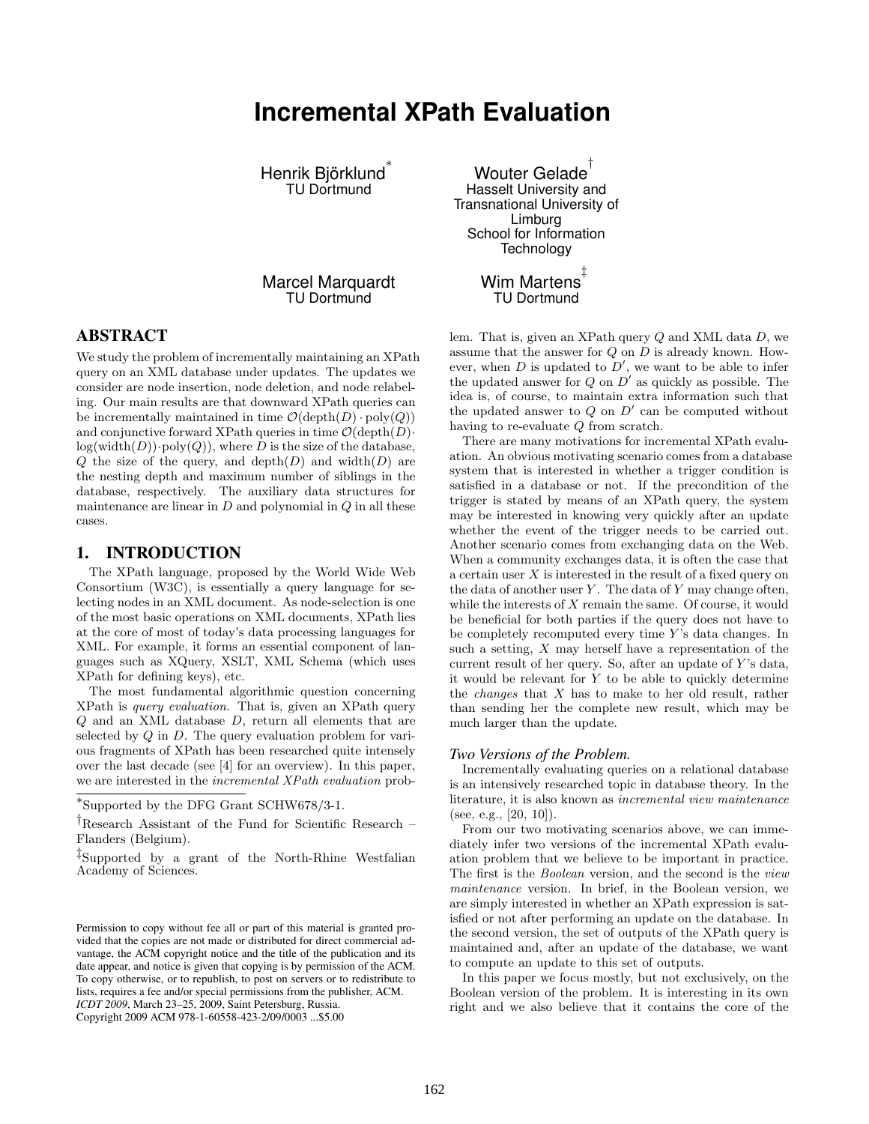# **Incremental XPath Evaluation**

Henrik Björklund ∗ TU Dortmund

Marcel Marquardt TU Dortmund

# ABSTRACT

We study the problem of incrementally maintaining an XPath query on an XML database under updates. The updates we consider are node insertion, node deletion, and node relabeling. Our main results are that downward XPath queries can be incrementally maintained in time  $\mathcal{O}(\operatorname{depth}(D) \cdot \operatorname{poly}(Q))$ and conjunctive forward XPath queries in time  $\mathcal{O}(\text{depth}(D))$  $log(width(D)) \cdot poly(Q)),$  where D is the size of the database,  $Q$  the size of the query, and depth $(D)$  and width $(D)$  are the nesting depth and maximum number of siblings in the database, respectively. The auxiliary data structures for maintenance are linear in  $D$  and polynomial in  $Q$  in all these cases.

## 1. INTRODUCTION

The XPath language, proposed by the World Wide Web Consortium (W3C), is essentially a query language for selecting nodes in an XML document. As node-selection is one of the most basic operations on XML documents, XPath lies at the core of most of today's data processing languages for XML. For example, it forms an essential component of languages such as XQuery, XSLT, XML Schema (which uses XPath for defining keys), etc.

The most fundamental algorithmic question concerning XPath is query evaluation. That is, given an XPath query Q and an XML database D, return all elements that are selected by  $Q$  in  $D$ . The query evaluation problem for various fragments of XPath has been researched quite intensely over the last decade (see [4] for an overview). In this paper, we are interested in the incremental XPath evaluation prob-

Copyright 2009 ACM 978-1-60558-423-2/09/0003 ...\$5.00

Wouter Gelade † Hasselt University and Transnational University of Limburg School for Information **Technology** ‡

Wim Martens TU Dortmund

lem. That is, given an XPath query  $Q$  and XML data  $D$ , we assume that the answer for  $Q$  on  $D$  is already known. However, when  $D$  is updated to  $D'$ , we want to be able to infer the updated answer for  $Q$  on  $D'$  as quickly as possible. The idea is, of course, to maintain extra information such that the updated answer to  $Q$  on  $D'$  can be computed without having to re-evaluate Q from scratch.

There are many motivations for incremental XPath evaluation. An obvious motivating scenario comes from a database system that is interested in whether a trigger condition is satisfied in a database or not. If the precondition of the trigger is stated by means of an XPath query, the system may be interested in knowing very quickly after an update whether the event of the trigger needs to be carried out. Another scenario comes from exchanging data on the Web. When a community exchanges data, it is often the case that a certain user  $X$  is interested in the result of a fixed query on the data of another user  $Y$ . The data of  $Y$  may change often, while the interests of X remain the same. Of course, it would be beneficial for both parties if the query does not have to be completely recomputed every time  $Y$ 's data changes. In such a setting,  $X$  may herself have a representation of the current result of her query. So, after an update of  $Y$ 's data, it would be relevant for  $Y$  to be able to quickly determine the changes that X has to make to her old result, rather than sending her the complete new result, which may be much larger than the update.

#### *Two Versions of the Problem.*

Incrementally evaluating queries on a relational database is an intensively researched topic in database theory. In the literature, it is also known as incremental view maintenance (see, e.g., [20, 10]).

From our two motivating scenarios above, we can immediately infer two versions of the incremental XPath evaluation problem that we believe to be important in practice. The first is the Boolean version, and the second is the view maintenance version. In brief, in the Boolean version, we are simply interested in whether an XPath expression is satisfied or not after performing an update on the database. In the second version, the set of outputs of the XPath query is maintained and, after an update of the database, we want to compute an update to this set of outputs.

In this paper we focus mostly, but not exclusively, on the Boolean version of the problem. It is interesting in its own right and we also believe that it contains the core of the

<sup>∗</sup> Supported by the DFG Grant SCHW678/3-1.

<sup>†</sup>Research Assistant of the Fund for Scientific Research – Flanders (Belgium).

<sup>‡</sup> Supported by a grant of the North-Rhine Westfalian Academy of Sciences.

Permission to copy without fee all or part of this material is granted provided that the copies are not made or distributed for direct commercial advantage, the ACM copyright notice and the title of the publication and its date appear, and notice is given that copying is by permission of the ACM. To copy otherwise, or to republish, to post on servers or to redistribute to lists, requires a fee and/or special permissions from the publisher, ACM. *ICDT 2009*, March 23–25, 2009, Saint Petersburg, Russia.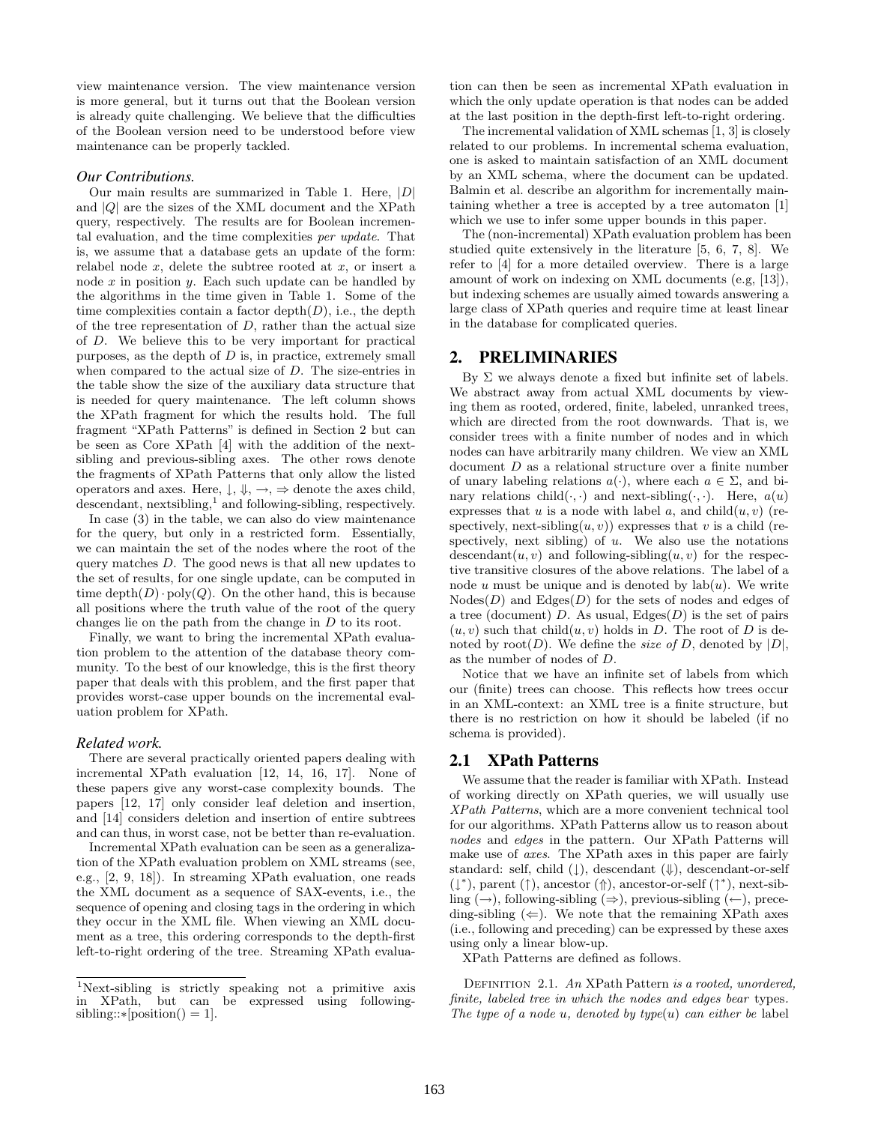view maintenance version. The view maintenance version is more general, but it turns out that the Boolean version is already quite challenging. We believe that the difficulties of the Boolean version need to be understood before view maintenance can be properly tackled.

#### *Our Contributions.*

Our main results are summarized in Table 1. Here,  $|D|$ and  $|Q|$  are the sizes of the XML document and the XPath query, respectively. The results are for Boolean incremental evaluation, and the time complexities per update. That is, we assume that a database gets an update of the form: relabel node  $x$ , delete the subtree rooted at  $x$ , or insert a node  $x$  in position  $y$ . Each such update can be handled by the algorithms in the time given in Table 1. Some of the time complexities contain a factor  $\operatorname{depth}(D)$ , i.e., the depth of the tree representation of  $D$ , rather than the actual size of D. We believe this to be very important for practical purposes, as the depth of  $D$  is, in practice, extremely small when compared to the actual size of D. The size-entries in the table show the size of the auxiliary data structure that is needed for query maintenance. The left column shows the XPath fragment for which the results hold. The full fragment "XPath Patterns" is defined in Section 2 but can be seen as Core XPath [4] with the addition of the nextsibling and previous-sibling axes. The other rows denote the fragments of XPath Patterns that only allow the listed operators and axes. Here,  $\downarrow$ ,  $\Downarrow$ ,  $\rightarrow$ ,  $\Rightarrow$  denote the axes child, descendant, nextsibling,<sup>1</sup> and following-sibling, respectively.

In case (3) in the table, we can also do view maintenance for the query, but only in a restricted form. Essentially, we can maintain the set of the nodes where the root of the query matches  $D$ . The good news is that all new updates to the set of results, for one single update, can be computed in time  $\text{depth}(D) \cdot \text{poly}(Q)$ . On the other hand, this is because all positions where the truth value of the root of the query changes lie on the path from the change in D to its root.

Finally, we want to bring the incremental XPath evaluation problem to the attention of the database theory community. To the best of our knowledge, this is the first theory paper that deals with this problem, and the first paper that provides worst-case upper bounds on the incremental evaluation problem for XPath.

#### *Related work.*

There are several practically oriented papers dealing with incremental XPath evaluation [12, 14, 16, 17]. None of these papers give any worst-case complexity bounds. The papers [12, 17] only consider leaf deletion and insertion, and [14] considers deletion and insertion of entire subtrees and can thus, in worst case, not be better than re-evaluation.

Incremental XPath evaluation can be seen as a generalization of the XPath evaluation problem on XML streams (see, e.g., [2, 9, 18]). In streaming XPath evaluation, one reads the XML document as a sequence of SAX-events, i.e., the sequence of opening and closing tags in the ordering in which they occur in the XML file. When viewing an XML document as a tree, this ordering corresponds to the depth-first left-to-right ordering of the tree. Streaming XPath evaluation can then be seen as incremental XPath evaluation in which the only update operation is that nodes can be added at the last position in the depth-first left-to-right ordering.

The incremental validation of XML schemas [1, 3] is closely related to our problems. In incremental schema evaluation, one is asked to maintain satisfaction of an XML document by an XML schema, where the document can be updated. Balmin et al. describe an algorithm for incrementally maintaining whether a tree is accepted by a tree automaton [1] which we use to infer some upper bounds in this paper.

The (non-incremental) XPath evaluation problem has been studied quite extensively in the literature [5, 6, 7, 8]. We refer to [4] for a more detailed overview. There is a large amount of work on indexing on XML documents (e.g, [13]), but indexing schemes are usually aimed towards answering a large class of XPath queries and require time at least linear in the database for complicated queries.

## 2. PRELIMINARIES

By  $\Sigma$  we always denote a fixed but infinite set of labels. We abstract away from actual XML documents by viewing them as rooted, ordered, finite, labeled, unranked trees, which are directed from the root downwards. That is, we consider trees with a finite number of nodes and in which nodes can have arbitrarily many children. We view an XML document D as a relational structure over a finite number of unary labeling relations  $a(\cdot)$ , where each  $a \in \Sigma$ , and binary relations child( $\cdot$ ,  $\cdot$ ) and next-sibling( $\cdot$ ,  $\cdot$ ). Here,  $a(u)$ expresses that u is a node with label a, and child $(u, v)$  (respectively, next-sibling $(u, v)$ ) expresses that v is a child (respectively, next sibling) of  $u$ . We also use the notations descendant $(u, v)$  and following-sibling $(u, v)$  for the respective transitive closures of the above relations. The label of a node u must be unique and is denoted by  $lab(u)$ . We write  $\text{Nodes}(D)$  and  $\text{Edges}(D)$  for the sets of nodes and edges of a tree (document) D. As usual,  $\text{Edges}(D)$  is the set of pairs  $(u, v)$  such that child $(u, v)$  holds in D. The root of D is denoted by root(D). We define the *size of D*, denoted by  $|D|$ , as the number of nodes of D.

Notice that we have an infinite set of labels from which our (finite) trees can choose. This reflects how trees occur in an XML-context: an XML tree is a finite structure, but there is no restriction on how it should be labeled (if no schema is provided).

# 2.1 XPath Patterns

We assume that the reader is familiar with XPath. Instead of working directly on XPath queries, we will usually use XPath Patterns, which are a more convenient technical tool for our algorithms. XPath Patterns allow us to reason about nodes and edges in the pattern. Our XPath Patterns will make use of axes. The XPath axes in this paper are fairly standard: self, child  $(↓)$ , descendant  $(↓)$ , descendant-or-self  $(\downarrow^*)$ , parent  $(\uparrow)$ , ancestor  $(\uparrow)$ , ancestor-or-self  $(\uparrow^*)$ , next-sibling  $(\rightarrow)$ , following-sibling  $(\rightarrow)$ , previous-sibling  $(\leftarrow)$ , preceding-sibling  $(\Leftarrow)$ . We note that the remaining XPath axes (i.e., following and preceding) can be expressed by these axes using only a linear blow-up.

XPath Patterns are defined as follows.

DEFINITION 2.1. An XPath Pattern is a rooted, unordered, finite, labeled tree in which the nodes and edges bear types. The type of a node u, denoted by type(u) can either be label

<sup>&</sup>lt;sup>1</sup>Next-sibling is strictly speaking not a primitive axis in XPath, but can be expressed using followingbut can be expressed using followingsibling::∗[position() = 1].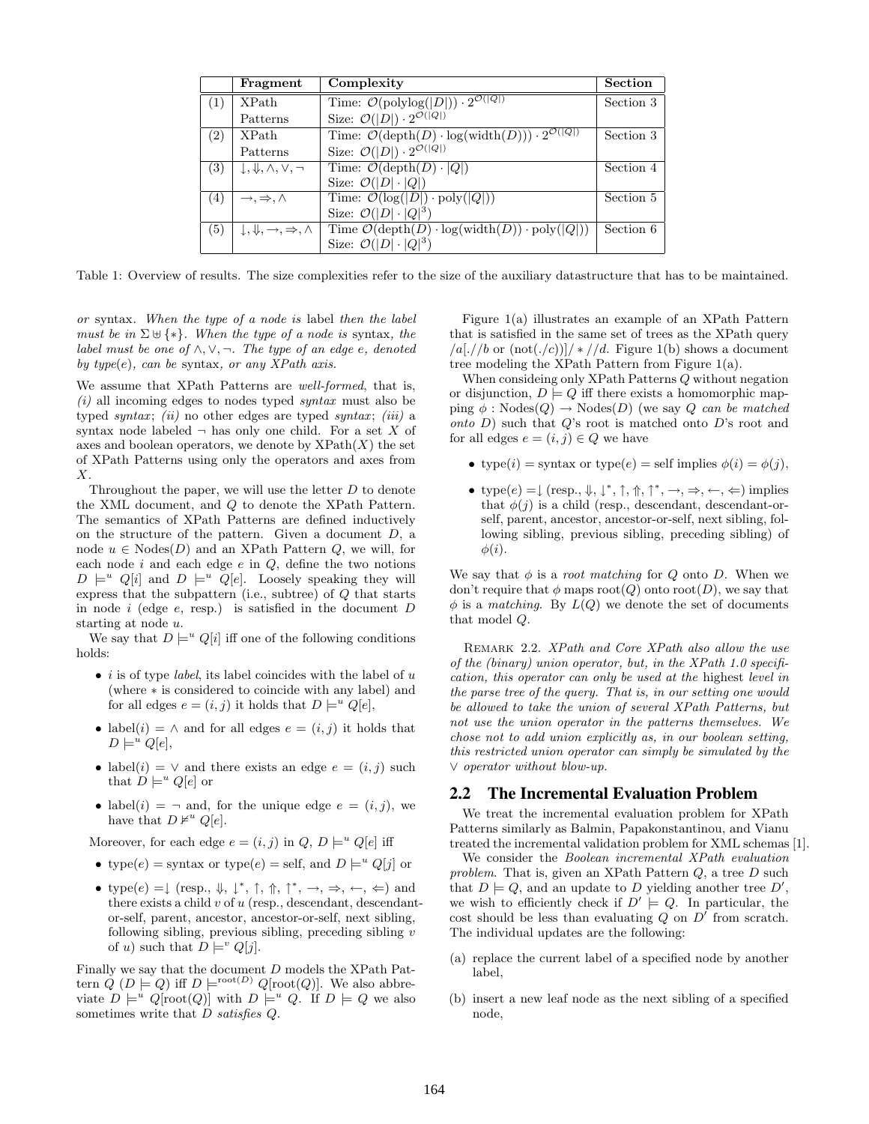|     | Fragment                                                   | Complexity                                                                                                     | <b>Section</b> |
|-----|------------------------------------------------------------|----------------------------------------------------------------------------------------------------------------|----------------|
| (1) | <b>XPath</b>                                               | Time: $\mathcal{O}(\text{polylog}( D )) \cdot 2^{\mathcal{O}( Q )}$                                            | Section 3      |
|     | Patterns                                                   | Size: $\mathcal{O}( D ) \cdot 2^{\mathcal{O}( Q )}$                                                            |                |
| (2) | <b>XPath</b>                                               | Time: $\mathcal{O}(\operatorname{depth}(D) \cdot \log(\operatorname{width}(D))) \cdot 2^{\mathcal{O}( Q )}$    | Section 3      |
|     | Patterns                                                   | Size: $\mathcal{O}( D ) \cdot 2^{\mathcal{O}( Q )}$                                                            |                |
| (3) | $\downarrow, \Downarrow, \wedge, \vee, \neg$               | Time: $\mathcal{O}(\operatorname{depth}(D) \cdot  Q )$                                                         | Section 4      |
|     |                                                            | Size: $\mathcal{O}( D  \cdot  Q )$                                                                             |                |
| (4) | $\rightarrow, \Rightarrow, \wedge$                         | Time: $\mathcal{O}(\log( D ) \cdot \text{poly}( Q ))$                                                          | Section 5      |
|     |                                                            | Size: $\mathcal{O}( D  \cdot  Q ^3)$                                                                           |                |
| (5) | $\downarrow, \Downarrow, \rightarrow, \Rightarrow, \wedge$ | Time $\mathcal{O}(\operatorname{depth}(D) \cdot \log(\operatorname{width}(D)) \cdot \operatorname{poly}( Q ))$ | Section 6      |
|     |                                                            | Size: $\mathcal{O}( D  \cdot  Q ^3)$                                                                           |                |

Table 1: Overview of results. The size complexities refer to the size of the auxiliary datastructure that has to be maintained.

or syntax. When the type of a node is label then the label must be in  $\Sigma \cup \{*\}$ . When the type of a node is syntax, the label must be one of  $\land, \lor, \neg$ . The type of an edge e, denoted by type $(e)$ , can be syntax, or any XPath axis.

We assume that XPath Patterns are *well-formed*, that is,  $(i)$  all incoming edges to nodes typed *syntax* must also be typed syntax; (ii) no other edges are typed syntax; (iii) a syntax node labeled  $\neg$  has only one child. For a set X of axes and boolean operators, we denote by  $XPath(X)$  the set of XPath Patterns using only the operators and axes from  $X$ .

Throughout the paper, we will use the letter  $D$  to denote the XML document, and Q to denote the XPath Pattern. The semantics of XPath Patterns are defined inductively on the structure of the pattern. Given a document D, a node  $u \in \text{Nodes}(D)$  and an XPath Pattern Q, we will, for each node  $i$  and each edge  $e$  in  $Q$ , define the two notions  $D \models^u Q[i]$  and  $D \models^u Q[e]$ . Loosely speaking they will express that the subpattern (i.e., subtree) of  $Q$  that starts in node  $i$  (edge  $e$ , resp.) is satisfied in the document  $D$ starting at node u.

We say that  $D \models^u Q[i]$  iff one of the following conditions holds:

- *i* is of type *label*, its label coincides with the label of  $u$ (where ∗ is considered to coincide with any label) and for all edges  $e = (i, j)$  it holds that  $D \models^u Q[e]$ ,
- label(*i*) =  $\land$  and for all edges  $e = (i, j)$  it holds that  $D \models^u Q[e],$
- label(i) =  $\vee$  and there exists an edge  $e = (i, j)$  such that  $D \models^u Q[e]$  or
- label(i) =  $\neg$  and, for the unique edge  $e = (i, j)$ , we have that  $D \nvDash^u Q[e]$ .

Moreover, for each edge  $e = (i, j)$  in  $Q, D \models^u Q[e]$  iff

- type $(e)$  = syntax or type $(e)$  = self, and  $D \models^u Q[j]$  or
- type $(e) = \downarrow$  (resp.,  $\Downarrow$ ,  $\downarrow^*$ ,  $\uparrow$ ,  $\Uparrow$ ,  $\uparrow^*$ ,  $\rightarrow$ ,  $\Rightarrow$ ,  $\leftarrow$ ,  $\Leftarrow$ ) and there exists a child  $v$  of  $u$  (resp., descendant, descendantor-self, parent, ancestor, ancestor-or-self, next sibling, following sibling, previous sibling, preceding sibling  $v$ of u) such that  $D \models^v Q[j]$ .

Finally we say that the document D models the XPath Pattern  $Q(D \models Q)$  iff  $D \models^{\text{root}(D)} Q[\text{root}(Q)]$ . We also abbreviate  $D \models^u Q[\text{root}(Q)]$  with  $D \models^u Q$ . If  $D \models Q$  we also sometimes write that  $D$  satisfies  $Q$ .

Figure 1(a) illustrates an example of an XPath Pattern that is satisfied in the same set of trees as the XPath query  $\frac{|a|}{|b|}$  or  $(\text{not}(./c))$   $\neq$   $\frac{|d|}{|d|}$ . Figure 1(b) shows a document tree modeling the XPath Pattern from Figure 1(a).

When consideing only XPath Patterns Q without negation or disjunction,  $D \models Q$  iff there exists a homomorphic mapping  $\phi$ : Nodes $(Q) \rightarrow$  Nodes $(D)$  (we say  $Q$  can be matched onto  $D$ ) such that  $Q$ 's root is matched onto  $D$ 's root and for all edges  $e = (i, j) \in Q$  we have

- type(i) = syntax or type(e) = self implies  $\phi(i) = \phi(j)$ ,
- type $(e) = \downarrow$  (resp.,  $\Downarrow$ ,  $\downarrow^*$ ,  $\uparrow$ ,  $\uparrow$ ,  $\uparrow^*$ ,  $\rightarrow$ ,  $\Rightarrow$ ,  $\leftarrow$ ,  $\Leftarrow$ ) implies that  $\phi(j)$  is a child (resp., descendant, descendant-orself, parent, ancestor, ancestor-or-self, next sibling, following sibling, previous sibling, preceding sibling) of  $\phi(i)$ .

We say that  $\phi$  is a *root matching* for Q onto D. When we don't require that  $\phi$  maps root(Q) onto root(D), we say that  $\phi$  is a matching. By  $L(Q)$  we denote the set of documents that model Q.

REMARK 2.2. XPath and Core XPath also allow the use of the (binary) union operator, but, in the XPath 1.0 specification, this operator can only be used at the highest level in the parse tree of the query. That is, in our setting one would be allowed to take the union of several XPath Patterns, but not use the union operator in the patterns themselves. We chose not to add union explicitly as, in our boolean setting, this restricted union operator can simply be simulated by the ∨ operator without blow-up.

#### 2.2 The Incremental Evaluation Problem

We treat the incremental evaluation problem for XPath Patterns similarly as Balmin, Papakonstantinou, and Vianu treated the incremental validation problem for XML schemas [1].

We consider the Boolean incremental XPath evaluation problem. That is, given an XPath Pattern Q, a tree D such that  $D \models Q$ , and an update to D yielding another tree D', we wish to efficiently check if  $D' \models Q$ . In particular, the cost should be less than evaluating  $Q$  on  $D'$  from scratch. The individual updates are the following:

- (a) replace the current label of a specified node by another label,
- (b) insert a new leaf node as the next sibling of a specified node,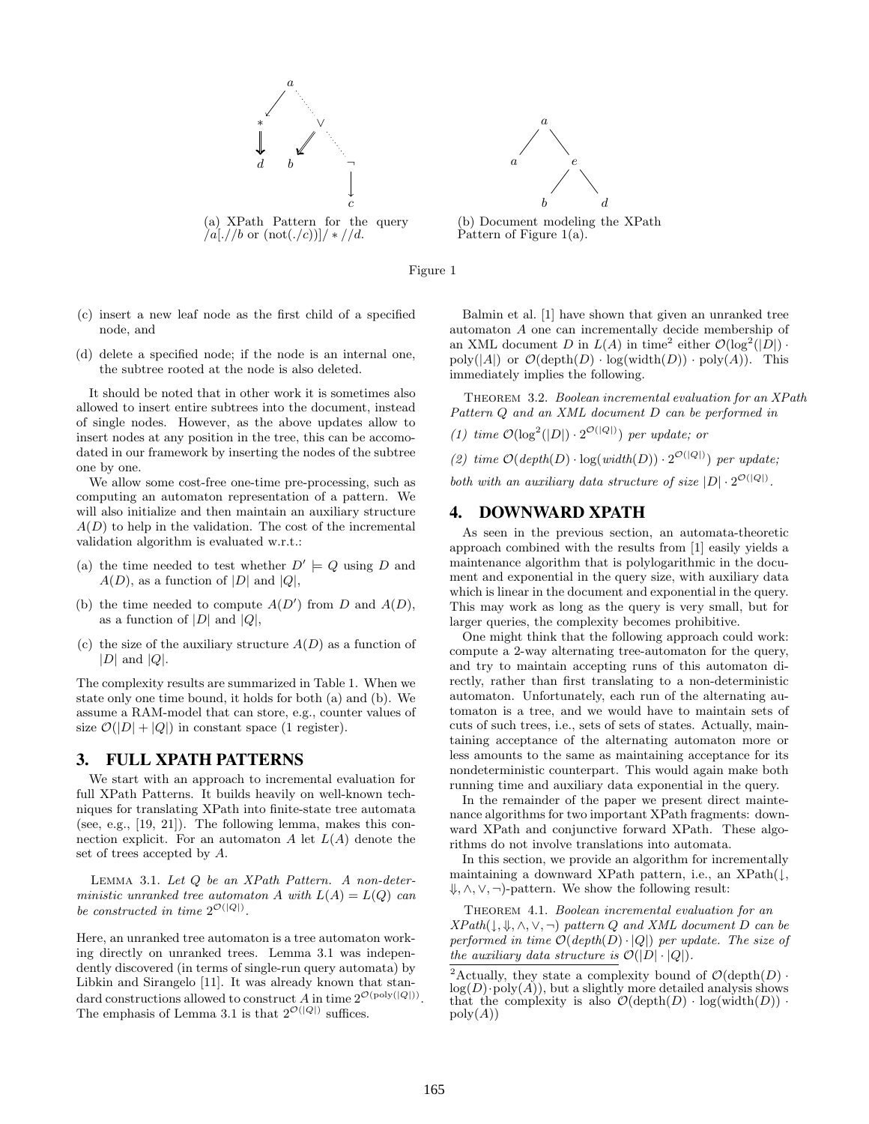



(b) Document modeling the XPath Pattern of Figure 1(a).

Figure 1

- (c) insert a new leaf node as the first child of a specified node, and
- (d) delete a specified node; if the node is an internal one, the subtree rooted at the node is also deleted.

It should be noted that in other work it is sometimes also allowed to insert entire subtrees into the document, instead of single nodes. However, as the above updates allow to insert nodes at any position in the tree, this can be accomodated in our framework by inserting the nodes of the subtree one by one.

We allow some cost-free one-time pre-processing, such as computing an automaton representation of a pattern. We will also initialize and then maintain an auxiliary structure  $A(D)$  to help in the validation. The cost of the incremental validation algorithm is evaluated w.r.t.:

- (a) the time needed to test whether  $D' \models Q$  using D and  $A(D)$ , as a function of  $|D|$  and  $|Q|$ ,
- (b) the time needed to compute  $A(D')$  from D and  $A(D)$ , as a function of  $|D|$  and  $|Q|$ ,
- (c) the size of the auxiliary structure  $A(D)$  as a function of  $|D|$  and  $|Q|$ .

The complexity results are summarized in Table 1. When we state only one time bound, it holds for both (a) and (b). We assume a RAM-model that can store, e.g., counter values of size  $\mathcal{O}(|D| + |Q|)$  in constant space (1 register).

## 3. FULL XPATH PATTERNS

We start with an approach to incremental evaluation for full XPath Patterns. It builds heavily on well-known techniques for translating XPath into finite-state tree automata (see, e.g., [19, 21]). The following lemma, makes this connection explicit. For an automaton A let  $L(A)$  denote the set of trees accepted by A.

Lemma 3.1. Let Q be an XPath Pattern. A non-deterministic unranked tree automaton A with  $L(A) = L(Q)$  can be constructed in time  $2^{\mathcal{O}(|Q|)}$ .

Here, an unranked tree automaton is a tree automaton working directly on unranked trees. Lemma 3.1 was independently discovered (in terms of single-run query automata) by Libkin and Sirangelo [11]. It was already known that standard constructions allowed to construct A in time  $2^{\mathcal{O}(\text{poly}(|Q|))}$ The emphasis of Lemma 3.1 is that  $2^{\mathcal{O}(|Q|)}$  suffices.

Balmin et al. [1] have shown that given an unranked tree automaton A one can incrementally decide membership of an XML document D in  $L(A)$  in time<sup>2</sup> either  $\mathcal{O}(\log^2(|D|))$ . poly(|A|) or  $\mathcal{O}(\operatorname{depth}(D) \cdot \log(\operatorname{width}(D)) \cdot \operatorname{poly}(A))$ . This immediately implies the following.

THEOREM 3.2. Boolean incremental evaluation for an XPath Pattern Q and an XML document D can be performed in

(1) time  $\mathcal{O}(\log^2(|D|) \cdot 2^{\mathcal{O}(|Q|)})$  per update; or

(2) time  $\mathcal{O}(depth(D) \cdot \log(width(D)) \cdot 2^{\mathcal{O}(|Q|)})$  per update;

both with an auxiliary data structure of size  $|D| \cdot 2^{\mathcal{O}(|Q|)}$ .

## 4. DOWNWARD XPATH

As seen in the previous section, an automata-theoretic approach combined with the results from [1] easily yields a maintenance algorithm that is polylogarithmic in the document and exponential in the query size, with auxiliary data which is linear in the document and exponential in the query. This may work as long as the query is very small, but for larger queries, the complexity becomes prohibitive.

One might think that the following approach could work: compute a 2-way alternating tree-automaton for the query, and try to maintain accepting runs of this automaton directly, rather than first translating to a non-deterministic automaton. Unfortunately, each run of the alternating automaton is a tree, and we would have to maintain sets of cuts of such trees, i.e., sets of sets of states. Actually, maintaining acceptance of the alternating automaton more or less amounts to the same as maintaining acceptance for its nondeterministic counterpart. This would again make both running time and auxiliary data exponential in the query.

In the remainder of the paper we present direct maintenance algorithms for two important XPath fragments: downward XPath and conjunctive forward XPath. These algorithms do not involve translations into automata.

In this section, we provide an algorithm for incrementally maintaining a downward XPath pattern, i.e., an XPath(↓, ⇓, ∧, ∨, ¬)-pattern. We show the following result:

THEOREM 4.1. Boolean incremental evaluation for an  $XPath(\mathcal{L}, \mathcal{L}, \wedge, \vee, \neg)$  pattern Q and XML document D can be performed in time  $\mathcal{O}(depth(D) \cdot |Q|)$  per update. The size of the auxiliary data structure is  $\mathcal{O}(|D| \cdot |Q|)$ .

.

<sup>&</sup>lt;sup>2</sup>Actually, they state a complexity bound of  $\mathcal{O}(\mathrm{depth}(D) \cdot$  $log(D) \cdot poly(A)$ , but a slightly more detailed analysis shows that the complexity is also  $\mathcal{O}(\operatorname{depth}(D) \cdot \log(\operatorname{width}(D))$ .  $poly(A))$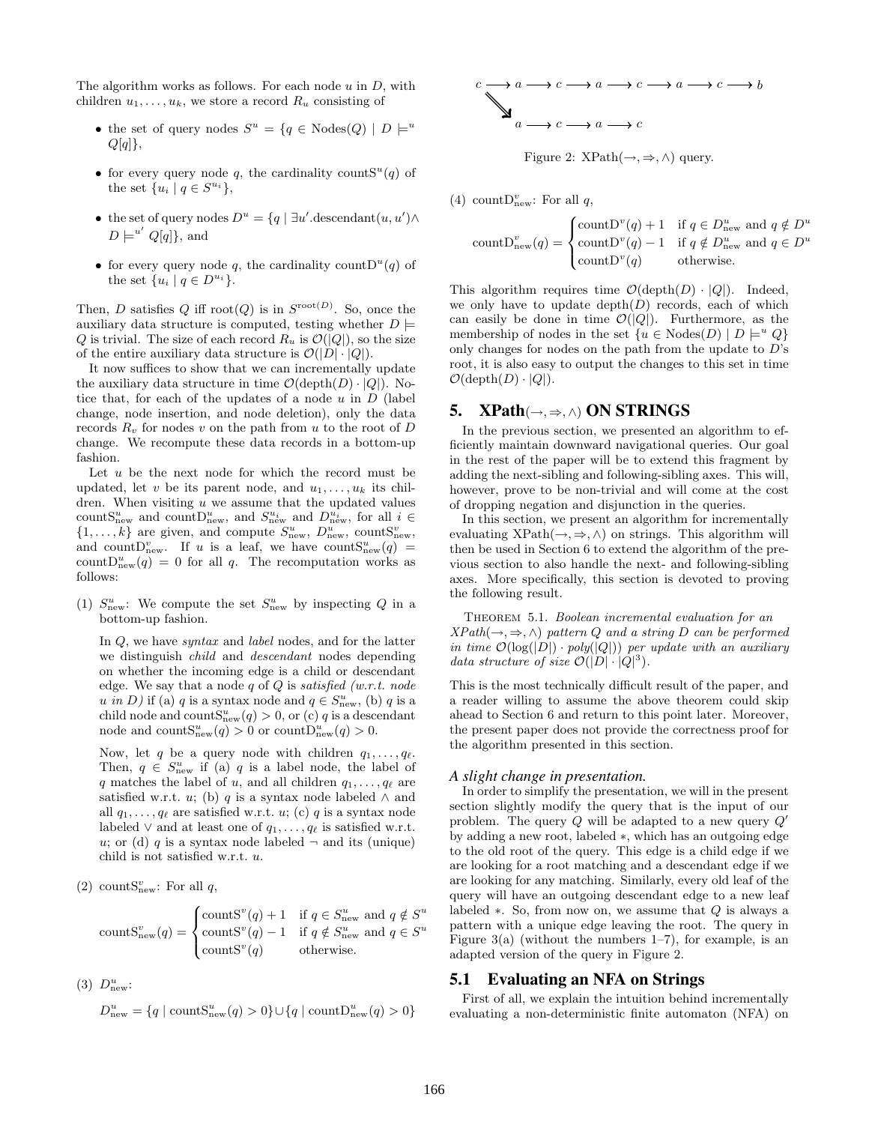The algorithm works as follows. For each node  $u$  in  $D$ , with children  $u_1, \ldots, u_k$ , we store a record  $R_u$  consisting of

- the set of query nodes  $S^u = \{q \in \text{Nodes}(Q) \mid D \models^u \}$  $Q[q]$ ,
- for every query node q, the cardinality counts<sup>u</sup>(q) of the set  $\{u_i \mid q \in S^{u_i}\},\$
- the set of query nodes  $D^u = \{q \mid \exists u'.\text{descendant}(u, u') \land \}$  $D \models^{u'} Q[q]$ , and
- for every query node q, the cardinality count  $D^{u}(q)$  of the set  $\{u_i \mid q \in D^{u_i}\}.$

Then, D satisfies Q iff root(Q) is in  $S^{\text{root}(D)}$ . So, once the auxiliary data structure is computed, testing whether  $D \models$ Q is trivial. The size of each record  $R_u$  is  $\mathcal{O}(|Q|)$ , so the size of the entire auxiliary data structure is  $\mathcal{O}(|D| \cdot |Q|)$ .

It now suffices to show that we can incrementally update the auxiliary data structure in time  $\mathcal{O}(\text{depth}(D) \cdot |Q|)$ . Notice that, for each of the updates of a node  $u$  in  $D$  (label change, node insertion, and node deletion), only the data records  $R_v$  for nodes v on the path from u to the root of D change. We recompute these data records in a bottom-up fashion.

Let  $u$  be the next node for which the record must be updated, let v be its parent node, and  $u_1, \ldots, u_k$  its children. When visiting  $u$  we assume that the updated values count S<sub>new</sub> and count D<sub>new</sub>, and  $S_{\text{new}}^{u_i}$  and  $D_{\text{new}}^{u_i}$ , for all  $i \in$  $\{1, \ldots, k\}$  are given, and compute  $S_{\text{new}}^u$ ,  $D_{\text{new}}^u$ , count $S_{\text{new}}^v$ , and count  $D_{\text{new}}^v$ . If u is a leaf, we have count  $S_{\text{new}}^u(q)$  = count  $D_{\text{new}}^u(q) = 0$  for all q. The recomputation works as follows:

(1)  $S_{\text{new}}^u$ : We compute the set  $S_{\text{new}}^u$  by inspecting Q in a bottom-up fashion.

In Q, we have *syntax* and *label* nodes, and for the latter we distinguish child and descendant nodes depending on whether the incoming edge is a child or descendant edge. We say that a node q of  $Q$  is satisfied (w.r.t. node u in D) if (a) q is a syntax node and  $q \in S_{\text{new}}^u$ , (b) q is a child node and count $S_{\text{new}}^{u}(q) > 0$ , or (c) q is a descendant node and count $S_{\text{new}}^u(q) > 0$  or count $D_{\text{new}}^u(q) > 0$ .

Now, let q be a query node with children  $q_1, \ldots, q_\ell$ . Then,  $q \in S_{\text{new}}^u$  if (a) q is a label node, the label of q matches the label of u, and all children  $q_1, \ldots, q_\ell$  are satisfied w.r.t. u; (b) q is a syntax node labeled  $\wedge$  and all  $q_1, \ldots, q_\ell$  are satisfied w.r.t. u; (c) q is a syntax node labeled  $\vee$  and at least one of  $q_1, \ldots, q_\ell$  is satisfied w.r.t. u; or (d) q is a syntax node labeled  $\neg$  and its (unique) child is not satisfied w.r.t. u.

(2) countS<sub>new</sub>: For all  $q$ ,

count
$$
S_{new}^{v}(q) = \begin{cases} countS^{v}(q) + 1 & \text{if } q \in S_{new}^{u} \text{ and } q \notin S^{u} \\ countS^{v}(q) - 1 & \text{if } q \notin S_{new}^{u} \text{ and } q \in S^{u} \\ countS^{v}(q) & \text{otherwise.} \end{cases}
$$

(3)  $D_{\text{new}}^u$ :

$$
D_{\text{new}}^u = \{q \mid \text{countS}_{\text{new}}^u(q) > 0\} \cup \{q \mid \text{countD}_{\text{new}}^u(q) > 0\}
$$



Figure 2:  $XPath(\rightarrow, \Rightarrow, \wedge)$  query.

(4) count  $D_{\text{new}}^v$ : For all q,

$$
countD_{new}^{v}(q) = \begin{cases} countD^{v}(q) + 1 & \text{if } q \in D_{new}^{u} \text{ and } q \notin D^{u} \\ countD^{v}(q) - 1 & \text{if } q \notin D_{new}^{u} \text{ and } q \in D^{u} \\ countD^{v}(q) & \text{otherwise.} \end{cases}
$$

This algorithm requires time  $\mathcal{O}(\operatorname{depth}(D) \cdot |Q|)$ . Indeed, we only have to update  $depth(D)$  records, each of which can easily be done in time  $\mathcal{O}(|Q|)$ . Furthermore, as the membership of nodes in the set  $\{u \in \text{Nodes}(D) \mid D \models^u Q\}$ only changes for nodes on the path from the update to  $D$ 's root, it is also easy to output the changes to this set in time  $\mathcal{O}(\operatorname{depth}(D) \cdot |Q|).$ 

#### 5.  $XPath(\rightarrow, \Rightarrow, \wedge) ON STRINGS$

In the previous section, we presented an algorithm to efficiently maintain downward navigational queries. Our goal in the rest of the paper will be to extend this fragment by adding the next-sibling and following-sibling axes. This will, however, prove to be non-trivial and will come at the cost of dropping negation and disjunction in the queries.

In this section, we present an algorithm for incrementally evaluating  $XPath(\rightarrow, \Rightarrow, \wedge)$  on strings. This algorithm will then be used in Section 6 to extend the algorithm of the previous section to also handle the next- and following-sibling axes. More specifically, this section is devoted to proving the following result.

THEOREM 5.1. Boolean incremental evaluation for an  $XPath(\rightarrow, \Rightarrow, \wedge)$  pattern Q and a string D can be performed in time  $\mathcal{O}(\log(|D|) \cdot poly(|Q|))$  per update with an auxiliary data structure of size  $\mathcal{O}(|D| \cdot |Q|^3)$ .

This is the most technically difficult result of the paper, and a reader willing to assume the above theorem could skip ahead to Section 6 and return to this point later. Moreover, the present paper does not provide the correctness proof for the algorithm presented in this section.

#### *A slight change in presentation.*

In order to simplify the presentation, we will in the present section slightly modify the query that is the input of our problem. The query  $Q$  will be adapted to a new query  $Q'$ by adding a new root, labeled ∗, which has an outgoing edge to the old root of the query. This edge is a child edge if we are looking for a root matching and a descendant edge if we are looking for any matching. Similarly, every old leaf of the query will have an outgoing descendant edge to a new leaf labeled  $\ast$ . So, from now on, we assume that  $Q$  is always a pattern with a unique edge leaving the root. The query in Figure  $3(a)$  (without the numbers 1–7), for example, is an adapted version of the query in Figure 2.

## 5.1 Evaluating an NFA on Strings

First of all, we explain the intuition behind incrementally evaluating a non-deterministic finite automaton (NFA) on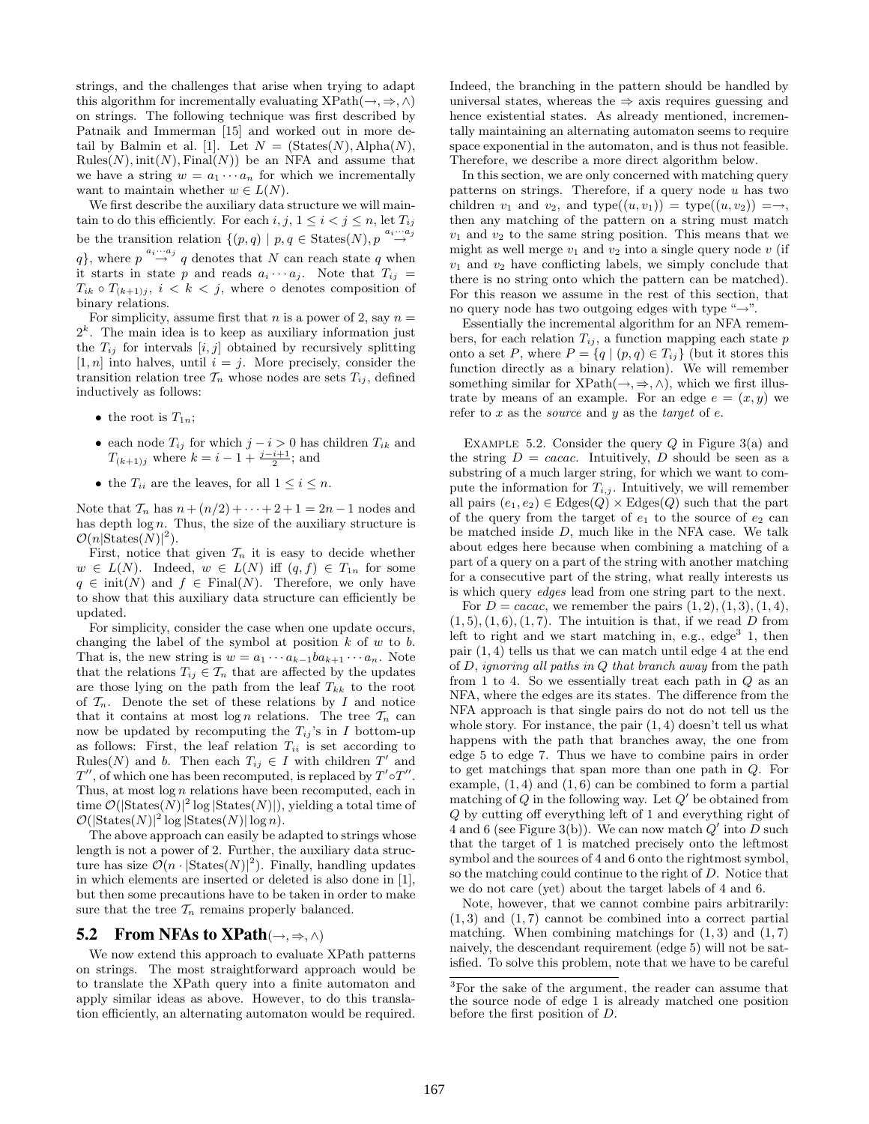strings, and the challenges that arise when trying to adapt this algorithm for incrementally evaluating  $XPath(\rightarrow, \Rightarrow, \wedge)$ on strings. The following technique was first described by Patnaik and Immerman [15] and worked out in more detail by Balmin et al. [1]. Let  $N = (States(N), Alpha(N),$  $Rules(N), init(N), Final(N))$  be an NFA and assume that we have a string  $w = a_1 \cdots a_n$  for which we incrementally want to maintain whether  $w \in L(N)$ .

We first describe the auxiliary data structure we will maintain to do this efficiently. For each  $i, j, 1 \leq i < j \leq n$ , let  $T_{ij}$ be the transition relation  $\{(p,q) | p,q \in \text{States}(N), p \stackrel{a_i \cdots a_j}{\rightarrow}$ q}, where  $p \stackrel{a_i \cdots a_j}{\rightarrow} q$  denotes that N can reach state q when it starts in state p and reads  $a_i \cdots a_j$ . Note that  $T_{ij} =$  $T_{ik} \circ T_{(k+1)j}, i \leq k \leq j$ , where  $\circ$  denotes composition of binary relations.

For simplicity, assume first that  $n$  is a power of 2, say  $n =$  $2<sup>k</sup>$ . The main idea is to keep as auxiliary information just the  $T_{ij}$  for intervals  $[i, j]$  obtained by recursively splitting  $[1, n]$  into halves, until  $i = j$ . More precisely, consider the transition relation tree  $\mathcal{T}_n$  whose nodes are sets  $T_{ij}$ , defined inductively as follows:

- the root is  $T_{1n}$ ;
- each node  $T_{ij}$  for which  $j i > 0$  has children  $T_{ik}$  and  $T_{(k+1)j}$  where  $k = i - 1 + \frac{j-i+1}{2}$ ; and
- the  $T_{ii}$  are the leaves, for all  $1 \leq i \leq n$ .

Note that  $\mathcal{T}_n$  has  $n + (n/2) + \cdots + 2 + 1 = 2n - 1$  nodes and has depth  $log n$ . Thus, the size of the auxiliary structure is  $\mathcal{O}(n | \text{States}(N) |^2).$ 

First, notice that given  $\mathcal{T}_n$  it is easy to decide whether  $w \in L(N)$ . Indeed,  $w \in L(N)$  iff  $(q, f) \in T_{1n}$  for some  $q \in \text{init}(N)$  and  $f \in \text{Final}(N)$ . Therefore, we only have to show that this auxiliary data structure can efficiently be updated.

For simplicity, consider the case when one update occurs, changing the label of the symbol at position  $k$  of  $w$  to  $b$ . That is, the new string is  $w = a_1 \cdots a_{k-1} b a_{k+1} \cdots a_n$ . Note that the relations  $T_{ij} \in \mathcal{T}_n$  that are affected by the updates are those lying on the path from the leaf  $T_{kk}$  to the root of  $\mathcal{T}_n$ . Denote the set of these relations by I and notice that it contains at most log n relations. The tree  $\mathcal{T}_n$  can now be updated by recomputing the  $T_{ij}$ 's in I bottom-up as follows: First, the leaf relation  $T_{ii}$  is set according to Rules(N) and b. Then each  $T_{ij} \in I$  with children T' and  $T''$ , of which one has been recomputed, is replaced by  $T' \circ T''$ . Thus, at most  $log n$  relations have been recomputed, each in time  $\mathcal{O}(|\text{States}(N)|^2 \log |\text{States}(N)|)$ , yielding a total time of  $\mathcal{O}(|\text{States}(N)|^2 \log |\text{States}(N)| \log n).$ 

The above approach can easily be adapted to strings whose length is not a power of 2. Further, the auxiliary data structure has size  $\mathcal{O}(n \cdot |\text{States}(N)|^2)$ . Finally, handling updates in which elements are inserted or deleted is also done in [1], but then some precautions have to be taken in order to make sure that the tree  $\mathcal{T}_n$  remains properly balanced.

#### 5.2 From NFAs to XPath( $\rightarrow$ ,  $\Rightarrow$ ,  $\land$ )

We now extend this approach to evaluate XPath patterns on strings. The most straightforward approach would be to translate the XPath query into a finite automaton and apply similar ideas as above. However, to do this translation efficiently, an alternating automaton would be required. Indeed, the branching in the pattern should be handled by universal states, whereas the  $\Rightarrow$  axis requires guessing and hence existential states. As already mentioned, incrementally maintaining an alternating automaton seems to require space exponential in the automaton, and is thus not feasible. Therefore, we describe a more direct algorithm below.

In this section, we are only concerned with matching query patterns on strings. Therefore, if a query node  $u$  has two children  $v_1$  and  $v_2$ , and type $((u, v_1)) =$  type $((u, v_2)) = \rightarrow$ , then any matching of the pattern on a string must match  $v_1$  and  $v_2$  to the same string position. This means that we might as well merge  $v_1$  and  $v_2$  into a single query node  $v$  (if  $v_1$  and  $v_2$  have conflicting labels, we simply conclude that there is no string onto which the pattern can be matched). For this reason we assume in the rest of this section, that no query node has two outgoing edges with type " $\rightarrow$ ".

Essentially the incremental algorithm for an NFA remembers, for each relation  $T_{ij}$ , a function mapping each state p onto a set P, where  $P = \{q \mid (p,q) \in T_{ij}\}\$  (but it stores this function directly as a binary relation). We will remember something similar for  $XPath(\rightarrow, \Rightarrow, \wedge)$ , which we first illustrate by means of an example. For an edge  $e = (x, y)$  we refer to  $x$  as the *source* and  $y$  as the *target* of  $e$ .

EXAMPLE 5.2. Consider the query  $Q$  in Figure 3(a) and the string  $D = cacac$ . Intuitively, D should be seen as a substring of a much larger string, for which we want to compute the information for  $T_{i,j}$ . Intuitively, we will remember all pairs  $(e_1, e_2) \in \text{Edges}(Q) \times \text{Edges}(Q)$  such that the part of the query from the target of  $e_1$  to the source of  $e_2$  can be matched inside D, much like in the NFA case. We talk about edges here because when combining a matching of a part of a query on a part of the string with another matching for a consecutive part of the string, what really interests us is which query edges lead from one string part to the next.

For  $D = cacac$ , we remember the pairs  $(1, 2), (1, 3), (1, 4),$  $(1, 5), (1, 6), (1, 7)$ . The intuition is that, if we read D from left to right and we start matching in, e.g.,  $edge<sup>3</sup>$  1, then pair (1, 4) tells us that we can match until edge 4 at the end of  $D$ , *ignoring all paths in*  $Q$  *that branch away* from the path from 1 to 4. So we essentially treat each path in  $Q$  as an NFA, where the edges are its states. The difference from the NFA approach is that single pairs do not do not tell us the whole story. For instance, the pair  $(1, 4)$  doesn't tell us what happens with the path that branches away, the one from edge 5 to edge 7. Thus we have to combine pairs in order to get matchings that span more than one path in Q. For example,  $(1, 4)$  and  $(1, 6)$  can be combined to form a partial matching of  $Q$  in the following way. Let  $Q'$  be obtained from Q by cutting off everything left of 1 and everything right of 4 and 6 (see Figure 3(b)). We can now match  $Q'$  into D such that the target of 1 is matched precisely onto the leftmost symbol and the sources of 4 and 6 onto the rightmost symbol, so the matching could continue to the right of D. Notice that we do not care (yet) about the target labels of 4 and 6.

Note, however, that we cannot combine pairs arbitrarily:  $(1, 3)$  and  $(1, 7)$  cannot be combined into a correct partial matching. When combining matchings for  $(1, 3)$  and  $(1, 7)$ naively, the descendant requirement (edge 5) will not be satisfied. To solve this problem, note that we have to be careful

<sup>3</sup>For the sake of the argument, the reader can assume that the source node of edge 1 is already matched one position before the first position of D.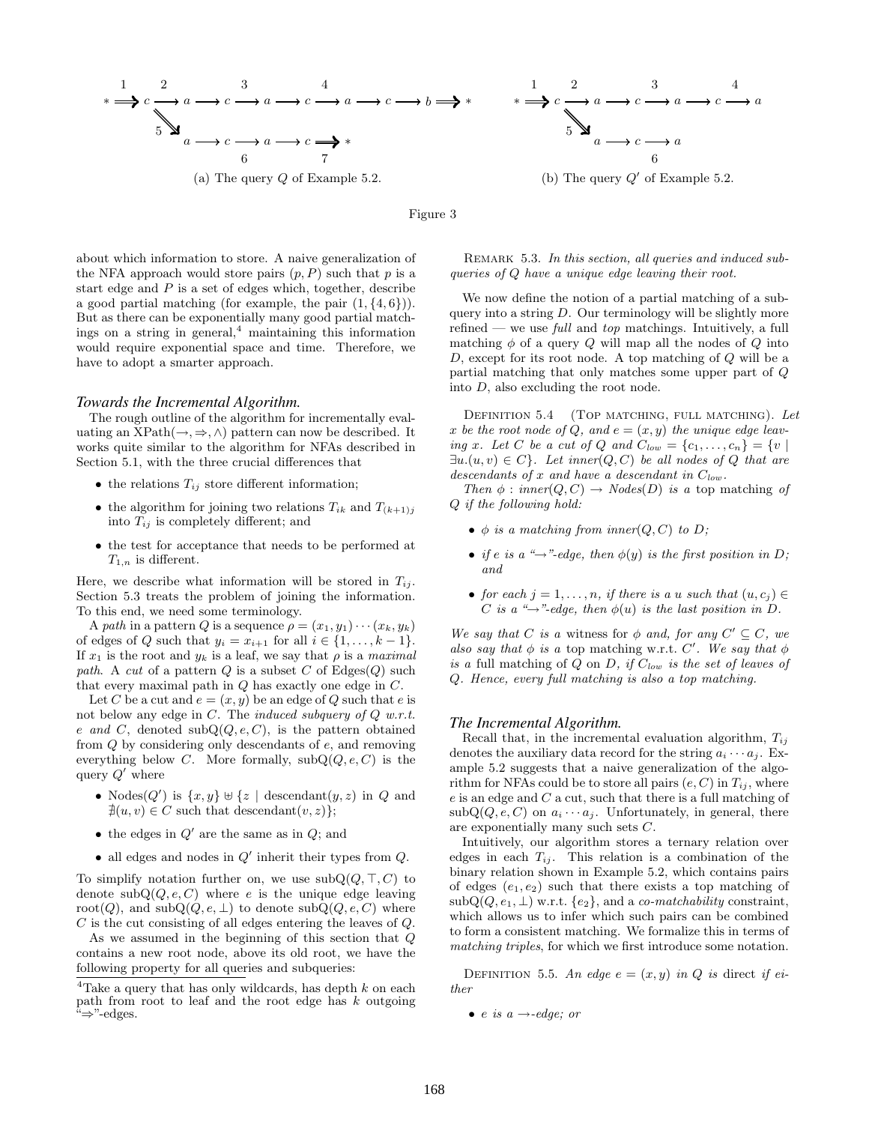

Figure 3

about which information to store. A naive generalization of the NFA approach would store pairs  $(p, P)$  such that p is a start edge and  $P$  is a set of edges which, together, describe a good partial matching (for example, the pair  $(1, \{4, 6\})$ ). But as there can be exponentially many good partial matchings on a string in general, $4$  maintaining this information would require exponential space and time. Therefore, we have to adopt a smarter approach.

#### *Towards the Incremental Algorithm.*

The rough outline of the algorithm for incrementally evaluating an  $XPath(\rightarrow, \Rightarrow, \wedge)$  pattern can now be described. It works quite similar to the algorithm for NFAs described in Section 5.1, with the three crucial differences that

- the relations  $T_{ij}$  store different information;
- the algorithm for joining two relations  $T_{ik}$  and  $T_{(k+1)j}$ into  $T_{ij}$  is completely different; and
- the test for acceptance that needs to be performed at  $T_{1,n}$  is different.

Here, we describe what information will be stored in  $T_{ij}$ . Section 5.3 treats the problem of joining the information. To this end, we need some terminology.

A path in a pattern Q is a sequence  $\rho = (x_1, y_1) \cdots (x_k, y_k)$ of edges of Q such that  $y_i = x_{i+1}$  for all  $i \in \{1, \ldots, k-1\}.$ If  $x_1$  is the root and  $y_k$  is a leaf, we say that  $\rho$  is a maximal path. A cut of a pattern Q is a subset C of  $\text{Edges}(Q)$  such that every maximal path in Q has exactly one edge in C.

Let C be a cut and  $e = (x, y)$  be an edge of Q such that e is not below any edge in  $C$ . The *induced subquery of*  $Q$  *w.r.t.* e and C, denoted  $\text{subQ}(Q, e, C)$ , is the pattern obtained from Q by considering only descendants of e, and removing everything below C. More formally,  $\mathrm{subQ}(Q, e, C)$  is the query  $Q'$  where

- Nodes $(Q')$  is  $\{x, y\} \cup \{z \mid \text{descendant}(y, z) \text{ in } Q \text{ and }$  $\nexists (u, v) \in C$  such that descendant $(v, z)$ ;
- the edges in  $Q'$  are the same as in  $Q$ ; and
- all edges and nodes in  $Q'$  inherit their types from  $Q$ .

To simplify notation further on, we use  $\mathrm{subQ}(Q, \top, C)$  to denote  $\mathrm{subQ}(Q, e, C)$  where e is the unique edge leaving root(Q), and  $\mathrm{subQ}(Q, e, \perp)$  to denote  $\mathrm{subQ}(Q, e, C)$  where C is the cut consisting of all edges entering the leaves of Q.

As we assumed in the beginning of this section that Q contains a new root node, above its old root, we have the following property for all queries and subqueries:

REMARK 5.3. In this section, all queries and induced subqueries of Q have a unique edge leaving their root.

We now define the notion of a partial matching of a subquery into a string D. Our terminology will be slightly more refined — we use  $full$  and top matchings. Intuitively, a full matching  $\phi$  of a query Q will map all the nodes of Q into D, except for its root node. A top matching of Q will be a partial matching that only matches some upper part of Q into D, also excluding the root node.

DEFINITION 5.4 (TOP MATCHING, FULL MATCHING). Let x be the root node of Q, and  $e = (x, y)$  the unique edge leaving x. Let C be a cut of Q and  $C_{low} = \{c_1, \ldots, c_n\} = \{v \mid$  $\exists u.(u, v) \in C$ . Let inner $(Q, C)$  be all nodes of Q that are descendants of x and have a descendant in  $C_{low}$ .

Then  $\phi$  : inner(Q, C)  $\rightarrow$  Nodes(D) is a top matching of Q if the following hold:

- $\phi$  is a matching from inner( $Q, C$ ) to  $D$ ;
- if e is a " $\rightarrow$ "-edge, then  $\phi(y)$  is the first position in D; and
- for each  $j = 1, \ldots, n$ , if there is a u such that  $(u, c_i) \in$ C is a " $\rightarrow$ "-edge, then  $\phi(u)$  is the last position in D.

We say that C is a witness for  $\phi$  and, for any  $C' \subseteq C$ , we also say that  $\phi$  is a top matching w.r.t. C'. We say that  $\phi$ is a full matching of  $Q$  on  $D$ , if  $C_{low}$  is the set of leaves of Q. Hence, every full matching is also a top matching.

#### *The Incremental Algorithm.*

Recall that, in the incremental evaluation algorithm,  $T_{ij}$ denotes the auxiliary data record for the string  $a_i \cdots a_j$ . Example 5.2 suggests that a naive generalization of the algorithm for NFAs could be to store all pairs  $(e, C)$  in  $T_{ij}$ , where  $e$  is an edge and  $C$  a cut, such that there is a full matching of  $subQ(Q, e, C)$  on  $a_i \cdots a_j$ . Unfortunately, in general, there are exponentially many such sets C.

Intuitively, our algorithm stores a ternary relation over edges in each  $T_{ij}$ . This relation is a combination of the binary relation shown in Example 5.2, which contains pairs of edges  $(e_1, e_2)$  such that there exists a top matching of  $subQ(Q, e_1, \perp)$  w.r.t.  $\{e_2\}$ , and a *co-matchability* constraint, which allows us to infer which such pairs can be combined to form a consistent matching. We formalize this in terms of matching triples, for which we first introduce some notation.

DEFINITION 5.5. An edge  $e = (x, y)$  in Q is direct if either

• e is  $a \rightarrow$ -edge; or

<sup>&</sup>lt;sup>4</sup>Take a query that has only wildcards, has depth  $k$  on each path from root to leaf and the root edge has  $k$  outgoing "⇒"-edges.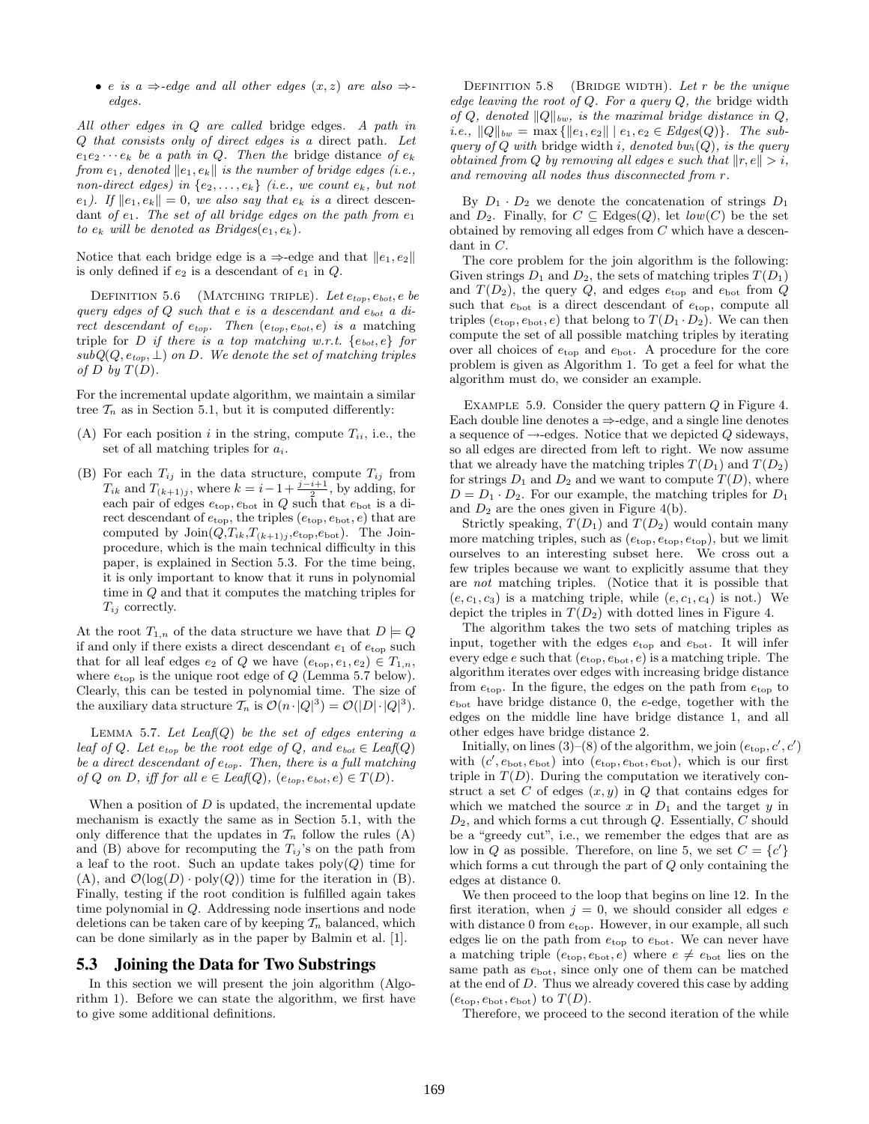• e is a  $\Rightarrow$ -edge and all other edges  $(x, z)$  are also  $\Rightarrow$ edges.

All other edges in Q are called bridge edges. A path in Q that consists only of direct edges is a direct path. Let  $e_1e_2\cdots e_k$  be a path in Q. Then the bridge distance of  $e_k$ from  $e_1$ , denoted  $||e_1, e_k||$  is the number of bridge edges (i.e., non-direct edges) in  $\{e_2, \ldots, e_k\}$  (i.e., we count  $e_k$ , but not e<sub>1</sub>). If  $||e_1, e_k|| = 0$ , we also say that  $e_k$  is a direct descendant of  $e_1$ . The set of all bridge edges on the path from  $e_1$ to  $e_k$  will be denoted as Bridges $(e_1, e_k)$ .

Notice that each bridge edge is a  $\Rightarrow$ -edge and that  $||e_1, e_2||$ is only defined if  $e_2$  is a descendant of  $e_1$  in  $Q$ .

DEFINITION 5.6 (MATCHING TRIPLE). Let  $e_{top}, e_{bot}, e$  be query edges of  $Q$  such that  $e$  is a descendant and  $e_{bot}$  a direct descendant of  $e_{top}$ . Then  $(e_{top}, e_{bot}, e)$  is a matching triple for D if there is a top matching w.r.t.  $\{e_{bot}, e\}$  for  $subQ(Q, e_{top}, \perp)$  on D. We denote the set of matching triples of D by  $T(D)$ .

For the incremental update algorithm, we maintain a similar tree  $\mathcal{T}_n$  as in Section 5.1, but it is computed differently:

- (A) For each position  $i$  in the string, compute  $T_{ii}$ , i.e., the set of all matching triples for  $a_i$ .
- (B) For each  $T_{ij}$  in the data structure, compute  $T_{ij}$  from  $T_{ik}$  and  $T_{(k+1)j}$ , where  $k = i-1+\frac{j-i+1}{2}$ , by adding, for each pair of edges  $e_{\text{top}}$ ,  $e_{\text{bot}}$  in Q such that  $e_{\text{bot}}$  is a direct descendant of  $e_{\rm top},$  the triples  $(e_{\rm top},e_{\rm bot},e)$  that are computed by  $\text{Join}(Q, T_{ik}, T_{(k+1)j}, e_{\text{top}}, e_{\text{bot}})$ . The Joinprocedure, which is the main technical difficulty in this paper, is explained in Section 5.3. For the time being, it is only important to know that it runs in polynomial time in Q and that it computes the matching triples for  $T_{ij}$  correctly.

At the root  $T_{1,n}$  of the data structure we have that  $D \models Q$ if and only if there exists a direct descendant  $e_1$  of  $e_{\text{top}}$  such that for all leaf edges  $e_2$  of Q we have  $(e_{\text{top}}, e_1, e_2) \in T_{1,n}$ , where  $e_{\text{top}}$  is the unique root edge of  $Q$  (Lemma 5.7 below). Clearly, this can be tested in polynomial time. The size of the auxiliary data structure  $\mathcal{T}_n$  is  $\mathcal{O}(n \cdot |Q|^3) = \mathcal{O}(|D| \cdot |Q|^3)$ .

LEMMA 5.7. Let  $Leaf(Q)$  be the set of edges entering a leaf of Q. Let  $e_{top}$  be the root edge of Q, and  $e_{bot} \in \text{Leaf}(Q)$ be a direct descendant of  $e_{top}$ . Then, there is a full matching of Q on D, iff for all  $e \in \text{Leaf}(Q)$ ,  $(e_{top}, e_{bot}, e) \in T(D)$ .

When a position of  $D$  is updated, the incremental update mechanism is exactly the same as in Section 5.1, with the only difference that the updates in  $\mathcal{T}_n$  follow the rules (A) and (B) above for recomputing the  $T_{ij}$ 's on the path from a leaf to the root. Such an update takes  $\text{poly}(Q)$  time for (A), and  $\mathcal{O}(\log(D) \cdot \text{poly}(Q))$  time for the iteration in (B). Finally, testing if the root condition is fulfilled again takes time polynomial in Q. Addressing node insertions and node deletions can be taken care of by keeping  $\mathcal{T}_n$  balanced, which can be done similarly as in the paper by Balmin et al. [1].

#### 5.3 Joining the Data for Two Substrings

In this section we will present the join algorithm (Algorithm 1). Before we can state the algorithm, we first have to give some additional definitions.

DEFINITION 5.8 (BRIDGE WIDTH). Let r be the unique edge leaving the root of  $Q$ . For a query  $Q$ , the bridge width of Q, denoted  $||Q||_{bw}$ , is the maximal bridge distance in Q, i.e.,  $||Q||_{bw} = \max \{||e_1, e_2|| \mid e_1, e_2 \in Edges(Q)\}.$  The subquery of Q with bridge width i, denoted bw<sub>i</sub>(Q), is the query obtained from Q by removing all edges e such that  $||r, e|| > i$ , and removing all nodes thus disconnected from r.

By  $D_1 \cdot D_2$  we denote the concatenation of strings  $D_1$ and  $D_2$ . Finally, for  $C \subseteq Edges(Q)$ , let  $low(C)$  be the set obtained by removing all edges from C which have a descendant in C.

The core problem for the join algorithm is the following: Given strings  $D_1$  and  $D_2$ , the sets of matching triples  $T(D_1)$ and  $T(D_2)$ , the query Q, and edges  $e_{\text{top}}$  and  $e_{\text{bot}}$  from Q such that  $e_{\text{bot}}$  is a direct descendant of  $e_{\text{top}}$ , compute all triples  $(e_{\text{top}}, e_{\text{bot}}, e)$  that belong to  $T(D_1 \cdot D_2)$ . We can then compute the set of all possible matching triples by iterating over all choices of  $e_{\text{top}}$  and  $e_{\text{bot}}$ . A procedure for the core problem is given as Algorithm 1. To get a feel for what the algorithm must do, we consider an example.

EXAMPLE 5.9. Consider the query pattern  $Q$  in Figure 4. Each double line denotes  $a \Rightarrow -edge$ , and a single line denotes a sequence of  $\rightarrow$ -edges. Notice that we depicted Q sideways, so all edges are directed from left to right. We now assume that we already have the matching triples  $T(D_1)$  and  $T(D_2)$ for strings  $D_1$  and  $D_2$  and we want to compute  $T(D)$ , where  $D = D_1 \cdot D_2$ . For our example, the matching triples for  $D_1$ and  $D_2$  are the ones given in Figure 4(b).

Strictly speaking,  $T(D_1)$  and  $T(D_2)$  would contain many more matching triples, such as  $(e_{\text{top}}, e_{\text{top}}, e_{\text{top}})$ , but we limit ourselves to an interesting subset here. We cross out a few triples because we want to explicitly assume that they are not matching triples. (Notice that it is possible that  $(e, c_1, c_3)$  is a matching triple, while  $(e, c_1, c_4)$  is not.) We depict the triples in  $T(D_2)$  with dotted lines in Figure 4.

The algorithm takes the two sets of matching triples as input, together with the edges  $e_{\text{top}}$  and  $e_{\text{bot}}$ . It will infer every edge e such that  $(e_{\text{top}}, e_{\text{bot}}, e)$  is a matching triple. The algorithm iterates over edges with increasing bridge distance from  $e_{\text{top}}$ . In the figure, the edges on the path from  $e_{\text{top}}$  to  $e_{\text{bot}}$  have bridge distance 0, the  $e$ -edge, together with the edges on the middle line have bridge distance 1, and all other edges have bridge distance 2.

Initially, on lines (3)–(8) of the algorithm, we join  $(e_{\text{top}}, c', c')$ with  $(c', e_{\text{bot}}, e_{\text{bot}})$  into  $(e_{\text{top}}, e_{\text{bot}}, e_{\text{bot}})$ , which is our first triple in  $T(D)$ . During the computation we iteratively construct a set C of edges  $(x, y)$  in Q that contains edges for which we matched the source x in  $D_1$  and the target y in  $D_2$ , and which forms a cut through  $Q$ . Essentially,  $C$  should be a "greedy cut", i.e., we remember the edges that are as low in Q as possible. Therefore, on line 5, we set  $C = \{c'\}$ which forms a cut through the part of Q only containing the edges at distance 0.

We then proceed to the loop that begins on line 12. In the first iteration, when  $j = 0$ , we should consider all edges e with distance 0 from  $e_{\text{top}}$ . However, in our example, all such edges lie on the path from  $e_{\text{top}}$  to  $e_{\text{bot}}$ . We can never have a matching triple  $(e_{\text{top}}, e_{\text{bot}}, e)$  where  $e \neq e_{\text{bot}}$  lies on the same path as  $e_{\text{bot}}$ , since only one of them can be matched at the end of D. Thus we already covered this case by adding  $(e_{\text{top}}, e_{\text{bot}}, e_{\text{bot}})$  to  $T(D)$ .

Therefore, we proceed to the second iteration of the while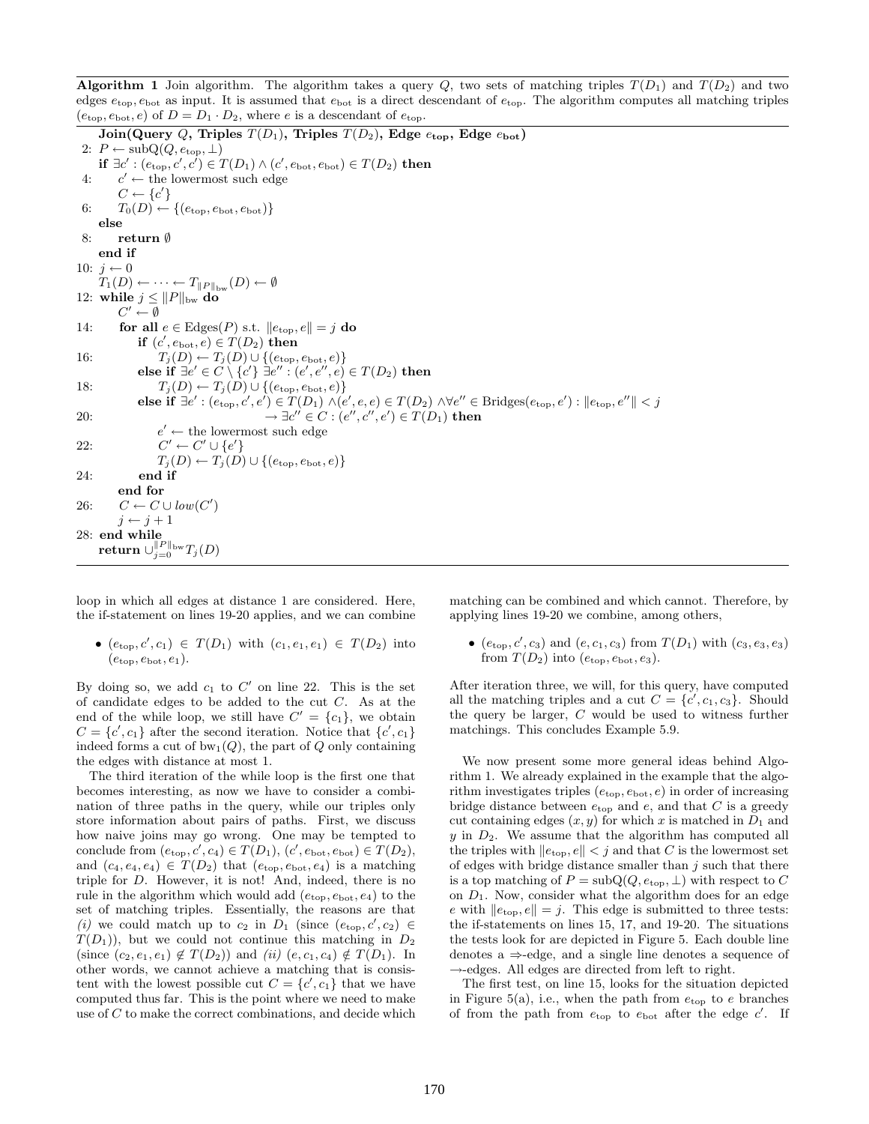Algorithm 1 Join algorithm. The algorithm takes a query Q, two sets of matching triples  $T(D_1)$  and  $T(D_2)$  and two edges  $e_{\text{top}}$ ,  $e_{\text{bot}}$  as input. It is assumed that  $e_{\text{bot}}$  is a direct descendant of  $e_{\text{top}}$ . The algorithm computes all matching triples  $(e_{\text{top}}, e_{\text{bot}}, e)$  of  $D = D_1 \cdot D_2$ , where e is a descendant of  $e_{\text{top}}$ .

Join(Query Q, Triples  $T(D_1)$ , Triples  $T(D_2)$ , Edge  $e_{top}$ , Edge  $e_{bot}$ ) 2:  $P \leftarrow \text{subQ}(Q, e_{\text{top}}, \perp)$  $\textbf{if} \; \exists c': (e_{\text{top}}, c', c') \in T(D_1) \land (c', e_{\text{bot}}, e_{\text{bot}}) \in T(D_2) \; \textbf{then}$ 4:  $c' \leftarrow$  the lowermost such edge  $C \leftarrow \{c'\}$ 6:  $T_0(D) \leftarrow \{(e_{\text{top}}, e_{\text{bot}}, e_{\text{bot}})\}$ else 8: return ∅ end if 10:  $j \leftarrow 0$  $T_1(D) \leftarrow \cdots \leftarrow T_{\|P\|_{\text{bw}}}(D) \leftarrow \emptyset$ 12: while  $j \leq ||P||_{\text{bw}}$  do  $C' \leftarrow \emptyset$ 14: for all  $e \in \text{Edges}(P)$  s.t.  $||e_{\text{top}}, e|| = j$  do if  $(c', e_{\text{bot}}, e) \in T(D_2)$  then 16:  $T_j(D) \leftarrow T_j(D) \cup \{(e_{\text{top}}, e_{\text{bot}}, e)\}$ else if ∃e′ ∈ C \ {c'} ∃e″ : (e', e", e) ∈  $T(D_2)$  then 18:  $T_j(D) \leftarrow T_j(D) \cup \{(e_{\text{top}}, e_{\text{bot}}, e)\}$ else if ∃e' :  $(e_{\text{top}}, c', e') \in T(D_1) \land (e', e, e) \in T(D_2) \land \forall e'' \in \text{Bridges}(e_{\text{top}}, e') : \|e_{\text{top}}, e''\| < j$ 20:  $\rightarrow \exists c'' \in C : (e'', c'', e') \in T(D_1)$  then  $e' \leftarrow$  the lowermost such edge  $22:$  $\ell' \leftarrow C' \cup \{e'\}$  $T_j(D) \leftarrow T_j(D) \cup \{(e_{\text{top}}, e_{\text{bot}}, e)\}$ 24: end if end for 26:  $C \leftarrow C \cup low(C')$  $j \leftarrow j + 1$ 28: end while  $\operatorname{return} \cup_{j=0}^{\|P\|_{\mathrm{bw}}} T_j(D)$ 

loop in which all edges at distance 1 are considered. Here, the if-statement on lines 19-20 applies, and we can combine

•  $(e_{\text{top}}, c', c_1) \in T(D_1)$  with  $(c_1, e_1, e_1) \in T(D_2)$  into  $(e<sub>top</sub>, e<sub>bot</sub>, e<sub>1</sub>)$ .

By doing so, we add  $c_1$  to  $C'$  on line 22. This is the set of candidate edges to be added to the cut C. As at the end of the while loop, we still have  $C' = \{c_1\}$ , we obtain  $C = \{c', c_1\}$  after the second iteration. Notice that  $\{c', c_1\}$ indeed forms a cut of  $bw_1(Q)$ , the part of Q only containing the edges with distance at most 1.

The third iteration of the while loop is the first one that becomes interesting, as now we have to consider a combination of three paths in the query, while our triples only store information about pairs of paths. First, we discuss how naive joins may go wrong. One may be tempted to conclude from  $(e_{\text{top}}, c', c_4) \in T(D_1), (c', e_{\text{bot}}, e_{\text{bot}}) \in T(D_2),$ and  $(c_4, e_4, e_4) \in T(D_2)$  that  $(e_{top}, e_{bot}, e_4)$  is a matching triple for D. However, it is not! And, indeed, there is no rule in the algorithm which would add  $(e_{top}, e_{bot}, e_4)$  to the set of matching triples. Essentially, the reasons are that (i) we could match up to  $c_2$  in  $D_1$  (since  $(e_{\text{top}}, c', c_2) \in$  $T(D_1)$ , but we could not continue this matching in  $D_2$ (since  $(c_2, e_1, e_1) \notin T(D_2)$ ) and *(ii)*  $(e, c_1, c_4) \notin T(D_1)$ . In other words, we cannot achieve a matching that is consistent with the lowest possible cut  $C = \{c', c_1\}$  that we have computed thus far. This is the point where we need to make use of C to make the correct combinations, and decide which matching can be combined and which cannot. Therefore, by applying lines 19-20 we combine, among others,

•  $(e_{\text{top}}, c', c_3)$  and  $(e, c_1, c_3)$  from  $T(D_1)$  with  $(c_3, e_3, e_3)$ from  $T(D_2)$  into  $(e_{\text{top}}, e_{\text{bot}}, e_3)$ .

After iteration three, we will, for this query, have computed all the matching triples and a cut  $C = \{c', c_1, c_3\}$ . Should the query be larger, C would be used to witness further matchings. This concludes Example 5.9.

We now present some more general ideas behind Algorithm 1. We already explained in the example that the algorithm investigates triples  $(e_{\text{top}}, e_{\text{bot}}, e)$  in order of increasing bridge distance between  $e_{\text{top}}$  and  $e$ , and that C is a greedy cut containing edges  $(x, y)$  for which x is matched in  $D_1$  and  $y$  in  $D_2$ . We assume that the algorithm has computed all the triples with  $\left\Vert e_{\text{top}}, e\right\Vert < j$  and that  $C$  is the lowermost set of edges with bridge distance smaller than  $j$  such that there is a top matching of  $P = subQ(Q, e_{top}, \perp)$  with respect to C on  $D_1$ . Now, consider what the algorithm does for an edge e with  $\|e_{\text{top}}, e\| = j$ . This edge is submitted to three tests: the if-statements on lines 15, 17, and 19-20. The situations the tests look for are depicted in Figure 5. Each double line denotes a ⇒-edge, and a single line denotes a sequence of  $\rightarrow$ -edges. All edges are directed from left to right.

The first test, on line 15, looks for the situation depicted in Figure 5(a), i.e., when the path from  $e_{\text{top}}$  to e branches of from the path from  $e_{\text{top}}$  to  $e_{\text{bot}}$  after the edge  $c'$ . If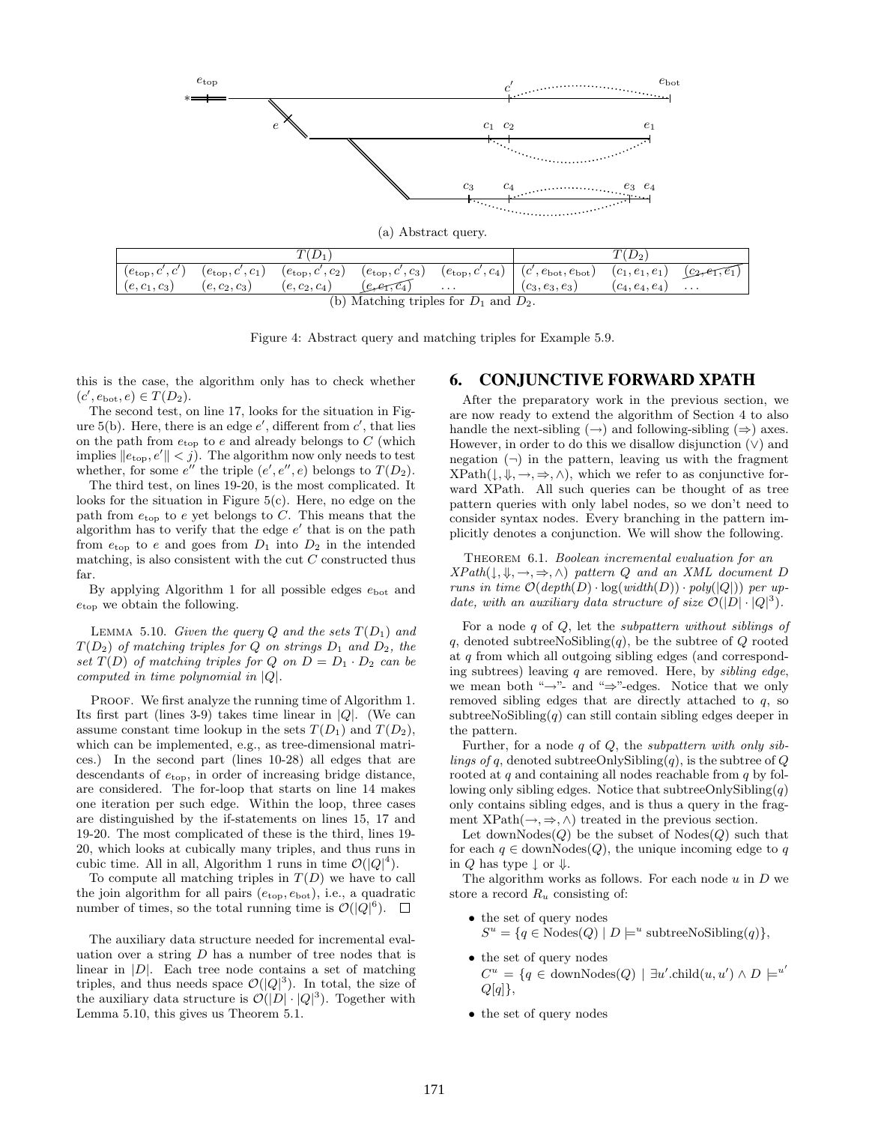

Figure 4: Abstract query and matching triples for Example 5.9.

this is the case, the algorithm only has to check whether  $(c', e_{\text{bot}}, e) \in T(D_2).$ 

The second test, on line 17, looks for the situation in Figure 5(b). Here, there is an edge  $e'$ , different from  $c'$ , that lies on the path from  $e_{\rm top}$  to  $e$  and already belongs to  $C$  (which implies  $||e_{\text{top}}, e'|| < j$ . The algorithm now only needs to test whether, for some  $e''$  the triple  $(e', e'', e)$  belongs to  $T(D_2)$ .

The third test, on lines 19-20, is the most complicated. It looks for the situation in Figure 5(c). Here, no edge on the path from  $e_{\text{top}}$  to e yet belongs to C. This means that the algorithm has to verify that the edge  $e'$  that is on the path from  $e_{\text{top}}$  to e and goes from  $D_1$  into  $D_2$  in the intended matching, is also consistent with the cut  $C$  constructed thus far.

By applying Algorithm 1 for all possible edges  $e_{\text{bot}}$  and  $e_{\text{top}}$  we obtain the following.

LEMMA 5.10. Given the query Q and the sets  $T(D_1)$  and  $T(D_2)$  of matching triples for Q on strings  $D_1$  and  $D_2$ , the set  $T(D)$  of matching triples for Q on  $D = D_1 \cdot D_2$  can be computed in time polynomial in |Q|.

PROOF. We first analyze the running time of Algorithm 1. Its first part (lines 3-9) takes time linear in  $|Q|$ . (We can assume constant time lookup in the sets  $T(D_1)$  and  $T(D_2)$ , which can be implemented, e.g., as tree-dimensional matrices.) In the second part (lines 10-28) all edges that are descendants of  $e_{\text{top}}$ , in order of increasing bridge distance, are considered. The for-loop that starts on line 14 makes one iteration per such edge. Within the loop, three cases are distinguished by the if-statements on lines 15, 17 and 19-20. The most complicated of these is the third, lines 19- 20, which looks at cubically many triples, and thus runs in cubic time. All in all, Algorithm 1 runs in time  $\mathcal{O}(|Q|^4)$ .

To compute all matching triples in  $T(D)$  we have to call the join algorithm for all pairs  $(e_{\text{top}}, e_{\text{bot}})$ , i.e., a quadratic number of times, so the total running time is  $\mathcal{O}(|Q|^6)$ .

The auxiliary data structure needed for incremental evaluation over a string  $D$  has a number of tree nodes that is linear in  $|D|$ . Each tree node contains a set of matching triples, and thus needs space  $\mathcal{O}(|Q|^3)$ . In total, the size of the auxiliary data structure is  $\mathcal{O}(|D| \cdot |Q|^3)$ . Together with Lemma 5.10, this gives us Theorem 5.1.

## 6. CONJUNCTIVE FORWARD XPATH

After the preparatory work in the previous section, we are now ready to extend the algorithm of Section 4 to also handle the next-sibling  $(\rightarrow)$  and following-sibling  $(\Rightarrow)$  axes. However, in order to do this we disallow disjunction  $(\vee)$  and negation  $(\neg)$  in the pattern, leaving us with the fragment  $XPath(\downarrow, \Downarrow, \rightarrow, \Rightarrow, \wedge)$ , which we refer to as conjunctive forward XPath. All such queries can be thought of as tree pattern queries with only label nodes, so we don't need to consider syntax nodes. Every branching in the pattern implicitly denotes a conjunction. We will show the following.

THEOREM 6.1. Boolean incremental evaluation for an  $XPath(\downarrow, \Downarrow, \rightarrow, \Rightarrow, \wedge)$  pattern Q and an XML document D runs in time  $\mathcal{O}(depth(D) \cdot \log(width(D)) \cdot poly(|Q|))$  per update, with an auxiliary data structure of size  $\mathcal{O}(|D| \cdot |Q|^3)$ .

For a node  $q$  of  $Q$ , let the *subpattern without siblings of* q, denoted subtree $N$ oSibling $(q)$ , be the subtree of Q rooted at q from which all outgoing sibling edges (and corresponding subtrees) leaving  $q$  are removed. Here, by *sibling edge*, we mean both " $\rightarrow$ "- and " $\Rightarrow$ "-edges. Notice that we only removed sibling edges that are directly attached to q, so subtree NoSibling(q) can still contain sibling edges deeper in the pattern.

Further, for a node q of  $Q$ , the *subpattern with only sib*lings of q, denoted subtreeOnlySibling $(q)$ , is the subtree of Q rooted at  $q$  and containing all nodes reachable from  $q$  by following only sibling edges. Notice that subtreeOnlySibling $(q)$ only contains sibling edges, and is thus a query in the fragment  $XPath(\rightarrow, \Rightarrow, \wedge)$  treated in the previous section.

Let downNodes $(Q)$  be the subset of Nodes $(Q)$  such that for each  $q \in \text{downNodes}(Q)$ , the unique incoming edge to q in Q has type  $\downarrow$  or  $\Downarrow$ .

The algorithm works as follows. For each node  $u$  in  $D$  we store a record  $R_u$  consisting of:

- the set of query nodes  $S^u = \{q \in \text{Nodes}(Q) \mid D \models^u \text{subtreeNoSibling}(q)\},\$
- the set of query nodes  $C^u = \{q \in \text{downNodes}(Q) \mid \exists u'.\text{child}(u, u') \land D \models^{u'}\}$  $Q[q]$ ,
- the set of query nodes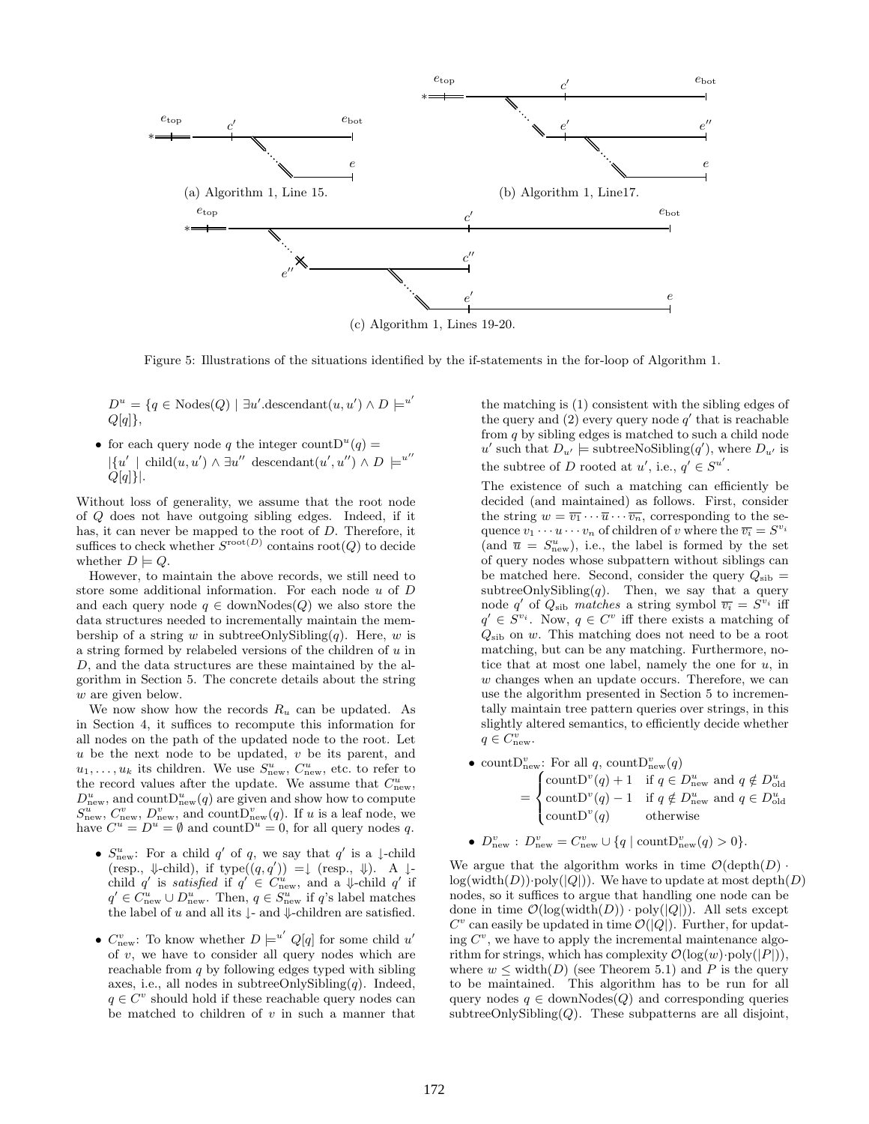

(c) Algorithm 1, Lines 19-20.

Figure 5: Illustrations of the situations identified by the if-statements in the for-loop of Algorithm 1.

 $D^u = \{q \in \text{Nodes}(Q) \mid \exists u'.\text{descendant}(u, u') \land D \models^{u'}\}$  $Q[q]$ ,

• for each query node q the integer count  $D^{u}(q) =$  $|\{u' \mid \text{child}(u, u') \wedge \exists u'' \text{ descendant}(u', u'') \wedge D \mid =^{u''}$  $Q[q]$ .

Without loss of generality, we assume that the root node of Q does not have outgoing sibling edges. Indeed, if it has, it can never be mapped to the root of D. Therefore, it suffices to check whether  $S^{\text{root}(D)}$  contains root $(Q)$  to decide whether  $D \models Q$ .

However, to maintain the above records, we still need to store some additional information. For each node  $u$  of  $D$ and each query node  $q \in \text{downNodes}(Q)$  we also store the data structures needed to incrementally maintain the membership of a string w in subtreeOnlySibling $(q)$ . Here, w is a string formed by relabeled versions of the children of u in D, and the data structures are these maintained by the algorithm in Section 5. The concrete details about the string w are given below.

We now show how the records  $R_u$  can be updated. As in Section 4, it suffices to recompute this information for all nodes on the path of the updated node to the root. Let  $u$  be the next node to be updated,  $v$  be its parent, and  $u_1, \ldots, u_k$  its children. We use  $S^u_{\text{new}}$ ,  $C^u_{\text{new}}$ , etc. to refer to the record values after the update. We assume that  $C_{\text{new}}^u$ ,  $D_{\text{new}}^u$ , and count $D_{\text{new}}^u(q)$  are given and show how to compute  $S_{\text{new}}^u$ ,  $C_{\text{new}}^v$ ,  $D_{\text{new}}^v$ , and count $D_{\text{new}}^v(q)$ . If u is a leaf node, we have  $C^u = D^u = \emptyset$  and count  $D^u = 0$ , for all query nodes q.

- $S_{\text{new}}^u$ : For a child q' of q, we say that q' is a ↓-child  $(\text{resp., }\Downarrow\text{-child}), \text{ if type}((q,q')) = \downarrow (\text{resp., }\Downarrow). \text{ A }\downarrow\text{-}$ child q' is satisfied if  $q' \in C^u_{\text{new}}$ , and a  $\downarrow$ -child q' if  $q' \in C_{\text{new}}^u \cup D_{\text{new}}^u$ . Then,  $q \in S_{\text{new}}^u$  if  $q$ 's label matches the label of u and all its  $\downarrow$ - and  $\downarrow$ -children are satisfied.
- $C_{\text{new}}^v$ : To know whether  $D \models^{u'} Q[q]$  for some child u' of  $v$ , we have to consider all query nodes which are reachable from  $q$  by following edges typed with sibling axes, i.e., all nodes in subtreeOnlySibling $(q)$ . Indeed,  $q \in C^v$  should hold if these reachable query nodes can be matched to children of  $v$  in such a manner that

the matching is (1) consistent with the sibling edges of the query and  $(2)$  every query node  $q'$  that is reachable from q by sibling edges is matched to such a child node u' such that  $D_{u'} \models \text{subtreeNoSibling}(q'),$  where  $D_{u'}$  is the subtree of D rooted at  $u'$ , i.e.,  $q' \in S^{u'}$ .

The existence of such a matching can efficiently be decided (and maintained) as follows. First, consider the string  $w = \overline{v_1} \cdots \overline{u} \cdots \overline{v_n}$ , corresponding to the sequence  $v_1 \cdots u \cdots v_n$  of children of v where the  $\overline{v_i} = S^{v_i}$ (and  $\bar{u} = S_{\text{new}}^u$ ), i.e., the label is formed by the set of query nodes whose subpattern without siblings can be matched here. Second, consider the query  $Q_{\rm{sib}} =$ subtreeOnlySibling $(q)$ . Then, we say that a query node q' of  $Q_{\text{sib}}$  matches a string symbol  $\overline{v_i} = S^{v_i}$  iff  $q' \in S^{v_i}$ . Now,  $q \in C^v$  iff there exists a matching of  $Q_{\rm sib}$  on w. This matching does not need to be a root matching, but can be any matching. Furthermore, notice that at most one label, namely the one for  $u$ , in w changes when an update occurs. Therefore, we can use the algorithm presented in Section 5 to incrementally maintain tree pattern queries over strings, in this slightly altered semantics, to efficiently decide whether  $q \in C_{\text{new}}^v$ .

• count  $D_{\text{new}}^v$ : For all q, count  $D_{\text{new}}^v(q)$ =  $\sqrt{2}$  $\int$  $\mathcal{L}$ count $D^v(q) + 1$  if  $q \in D^u_{\text{new}}$  and  $q \notin D^u_{\text{old}}$ <br>count $D^v(q) - 1$  if  $q \notin D^u_{\text{new}}$  and  $q \in D^u_{\text{old}}$ <br>count $D^v(q)$  otherwise

• 
$$
D_{\text{new}}^v : D_{\text{new}}^v = C_{\text{new}}^v \cup \{q \mid \text{countD}_{\text{new}}^v(q) > 0\}.
$$

We argue that the algorithm works in time  $\mathcal{O}(\text{depth}(D))$ .  $log(width(D))\cdot poly(|Q|)$ . We have to update at most depth $(D)$ nodes, so it suffices to argue that handling one node can be done in time  $\mathcal{O}(\log(\text{width}(D)) \cdot \text{poly}(|Q|))$ . All sets except  $C^v$  can easily be updated in time  $\mathcal{O}(|Q|)$ . Further, for updating  $C^v$ , we have to apply the incremental maintenance algorithm for strings, which has complexity  $\mathcal{O}(\log(w) \cdot \text{poly}(|P|)),$ where  $w \leq \text{width}(D)$  (see Theorem 5.1) and P is the query to be maintained. This algorithm has to be run for all query nodes  $q \in \text{downNodes}(Q)$  and corresponding queries subtreeOnlySibling $(Q)$ . These subpatterns are all disjoint,